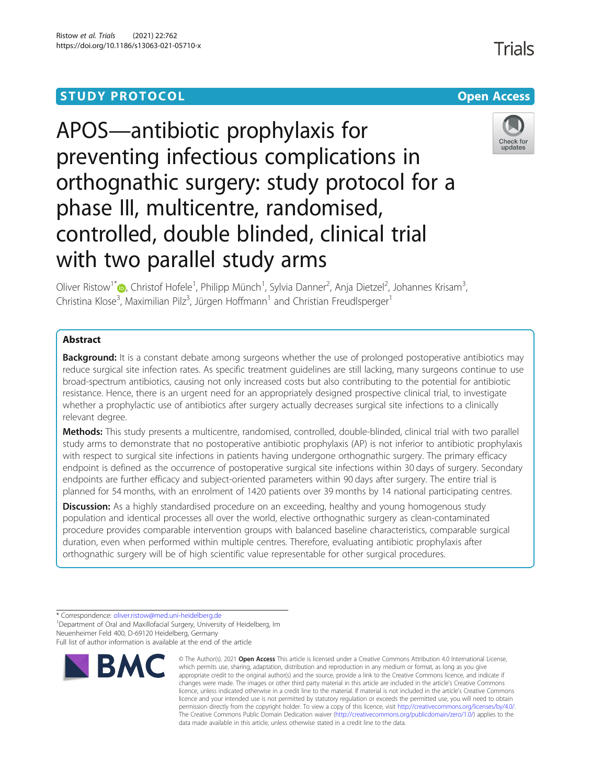# **STUDY PROTOCOL CONSUMING THE CONSUMING OPEN ACCESS**





Trials

Oliver Ristow<sup>1\*</sup>®[,](http://orcid.org/0000-0002-3911-262X) Christof Hofele<sup>1</sup>, Philipp Münch<sup>1</sup>, Sylvia Danner<sup>2</sup>, Anja Dietzel<sup>2</sup>, Johannes Krisam<sup>3</sup> , Christina Klose<sup>3</sup>, Maximilian Pilz<sup>3</sup>, Jürgen Hoffmann<sup>1</sup> and Christian Freudlsperger<sup>1</sup>

## Abstract

**Background:** It is a constant debate among surgeons whether the use of prolonged postoperative antibiotics may reduce surgical site infection rates. As specific treatment guidelines are still lacking, many surgeons continue to use broad-spectrum antibiotics, causing not only increased costs but also contributing to the potential for antibiotic resistance. Hence, there is an urgent need for an appropriately designed prospective clinical trial, to investigate whether a prophylactic use of antibiotics after surgery actually decreases surgical site infections to a clinically relevant degree.

Methods: This study presents a multicentre, randomised, controlled, double-blinded, clinical trial with two parallel study arms to demonstrate that no postoperative antibiotic prophylaxis (AP) is not inferior to antibiotic prophylaxis with respect to surgical site infections in patients having undergone orthognathic surgery. The primary efficacy endpoint is defined as the occurrence of postoperative surgical site infections within 30 days of surgery. Secondary endpoints are further efficacy and subject-oriented parameters within 90 days after surgery. The entire trial is planned for 54 months, with an enrolment of 1420 patients over 39 months by 14 national participating centres.

**Discussion:** As a highly standardised procedure on an exceeding, healthy and young homogenous study population and identical processes all over the world, elective orthognathic surgery as clean-contaminated procedure provides comparable intervention groups with balanced baseline characteristics, comparable surgical duration, even when performed within multiple centres. Therefore, evaluating antibiotic prophylaxis after orthognathic surgery will be of high scientific value representable for other surgical procedures.

<sup>1</sup> Department of Oral and Maxillofacial Surgery, University of Heidelberg, Im Neuenheimer Feld 400, D-69120 Heidelberg, Germany Full list of author information is available at the end of the article



<sup>©</sup> The Author(s), 2021 **Open Access** This article is licensed under a Creative Commons Attribution 4.0 International License, which permits use, sharing, adaptation, distribution and reproduction in any medium or format, as long as you give appropriate credit to the original author(s) and the source, provide a link to the Creative Commons licence, and indicate if changes were made. The images or other third party material in this article are included in the article's Creative Commons licence, unless indicated otherwise in a credit line to the material. If material is not included in the article's Creative Commons licence and your intended use is not permitted by statutory regulation or exceeds the permitted use, you will need to obtain permission directly from the copyright holder. To view a copy of this licence, visit [http://creativecommons.org/licenses/by/4.0/.](http://creativecommons.org/licenses/by/4.0/) The Creative Commons Public Domain Dedication waiver [\(http://creativecommons.org/publicdomain/zero/1.0/](http://creativecommons.org/publicdomain/zero/1.0/)) applies to the data made available in this article, unless otherwise stated in a credit line to the data.

<sup>\*</sup> Correspondence: [oliver.ristow@med.uni-heidelberg.de](mailto:oliver.ristow@med.uni-heidelberg.de) <sup>1</sup>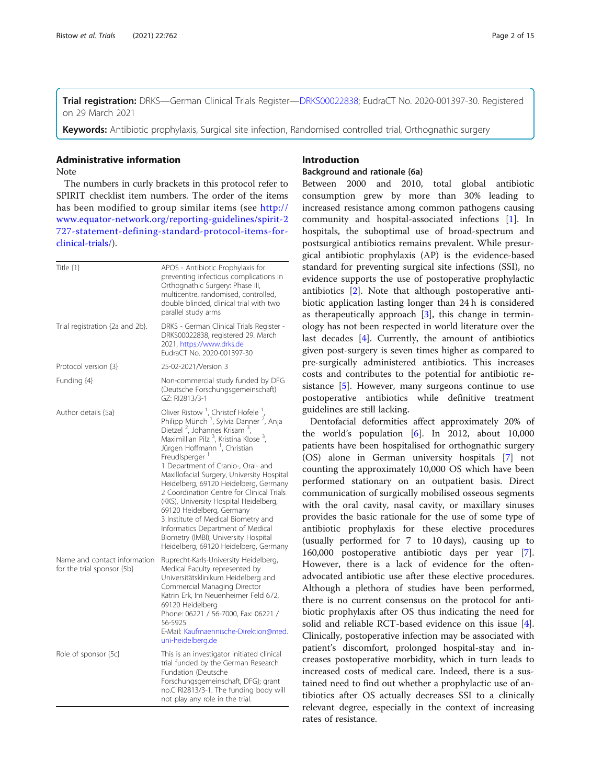Trial registration: DRKS—German Clinical Trials Register—[DRKS00022838](https://www.drks.de/drks_web/navigate.do?navigationId=trial.HTML&TRIAL_ID=DRKS00022838); EudraCT No. 2020-001397-30. Registered on 29 March 2021

Keywords: Antibiotic prophylaxis, Surgical site infection, Randomised controlled trial, Orthognathic surgery

### Administrative information

Note

The numbers in curly brackets in this protocol refer to SPIRIT checklist item numbers. The order of the items has been modified to group similar items (see [http://](http://www.equator-network.org/reporting-guidelines/spirit-2727-statement-defining-standard-protocol-items-for-clinical-trials/) [www.equator-network.org/reporting-guidelines/spirit-2](http://www.equator-network.org/reporting-guidelines/spirit-2727-statement-defining-standard-protocol-items-for-clinical-trials/) [727-statement-defining-standard-protocol-items-for](http://www.equator-network.org/reporting-guidelines/spirit-2727-statement-defining-standard-protocol-items-for-clinical-trials/)[clinical-trials/\)](http://www.equator-network.org/reporting-guidelines/spirit-2727-statement-defining-standard-protocol-items-for-clinical-trials/).

| Title $\{1\}$                                              | APOS - Antibiotic Prophylaxis for<br>preventing infectious complications in<br>Orthognathic Surgery: Phase III,<br>multicentre, randomised, controlled,<br>double blinded, clinical trial with two<br>parallel study arms                                                                                                                                                                                                                                                                                                                                                                                                                                                                                                                       |
|------------------------------------------------------------|-------------------------------------------------------------------------------------------------------------------------------------------------------------------------------------------------------------------------------------------------------------------------------------------------------------------------------------------------------------------------------------------------------------------------------------------------------------------------------------------------------------------------------------------------------------------------------------------------------------------------------------------------------------------------------------------------------------------------------------------------|
| Trial registration {2a and 2b}.                            | DRKS - German Clinical Trials Register -<br>DRKS00022838, registered 29. March<br>2021, https://www.drks.de<br>EudraCT No. 2020-001397-30                                                                                                                                                                                                                                                                                                                                                                                                                                                                                                                                                                                                       |
| Protocol version {3}                                       | 25-02-2021/Version 3                                                                                                                                                                                                                                                                                                                                                                                                                                                                                                                                                                                                                                                                                                                            |
| Funding {4}                                                | Non-commercial study funded by DFG<br>(Deutsche Forschungsgemeinschaft)<br>GZ: RI2813/3-1                                                                                                                                                                                                                                                                                                                                                                                                                                                                                                                                                                                                                                                       |
| Author details {5a}                                        | Oliver Ristow <sup>1</sup> , Christof Hofele <sup>1</sup> ,<br>Philipp Münch <sup>1</sup> , Sylvia Danner <sup>2</sup> , Anja<br>Dietzel <sup>2</sup> , Johannes Krisam <sup>3</sup> ,<br>Maximillian Pilz <sup>3</sup> , Kristina Klose <sup>3</sup> ,<br>Jürgen Hoffmann <sup>1</sup> , Christian<br>FreudIsperger <sup>1</sup><br>1 Department of Cranio-, Oral- and<br>Maxillofacial Surgery, University Hospital<br>Heidelberg, 69120 Heidelberg, Germany<br>2 Coordination Centre for Clinical Trials<br>(KKS), University Hospital Heidelberg,<br>69120 Heidelberg, Germany<br>3 Institute of Medical Biometry and<br>Informatics Department of Medical<br>Biometry (IMBI), University Hospital<br>Heidelberg, 69120 Heidelberg, Germany |
| Name and contact information<br>for the trial sponsor {5b} | Ruprecht-Karls-University Heidelberg,<br>Medical Faculty represented by<br>Universitätsklinikum Heidelberg and<br>Commercial Managing Director<br>Katrin Erk, Im Neuenheimer Feld 672,<br>69120 Heidelberg<br>Phone: 06221 / 56-7000, Fax: 06221 /<br>56-5925<br>E-Mail: Kaufmaennische-Direktion@med.<br>uni-heidelberg.de                                                                                                                                                                                                                                                                                                                                                                                                                     |
| Role of sponsor {5c}                                       | This is an investigator initiated clinical<br>trial funded by the German Research<br>Fundation (Deutsche<br>Forschungsgemeinschaft, DFG); grant<br>no.C RI2813/3-1. The funding body will<br>not play any role in the trial.                                                                                                                                                                                                                                                                                                                                                                                                                                                                                                                    |

## Introduction

## Background and rationale {6a}

Between 2000 and 2010, total global antibiotic consumption grew by more than 30% leading to increased resistance among common pathogens causing community and hospital-associated infections [[1\]](#page-14-0). In hospitals, the suboptimal use of broad-spectrum and postsurgical antibiotics remains prevalent. While presurgical antibiotic prophylaxis (AP) is the evidence-based standard for preventing surgical site infections (SSI), no evidence supports the use of postoperative prophylactic antibiotics [[2](#page-14-0)]. Note that although postoperative antibiotic application lasting longer than 24 h is considered as therapeutically approach  $[3]$  $[3]$  $[3]$ , this change in terminology has not been respected in world literature over the last decades [[4\]](#page-14-0). Currently, the amount of antibiotics given post-surgery is seven times higher as compared to pre-surgically administered antibiotics. This increases costs and contributes to the potential for antibiotic resistance [[5\]](#page-14-0). However, many surgeons continue to use postoperative antibiotics while definitive treatment guidelines are still lacking.

Dentofacial deformities affect approximately 20% of the world's population [\[6](#page-14-0)]. In 2012, about 10,000 patients have been hospitalised for orthognathic surgery (OS) alone in German university hospitals [\[7](#page-14-0)] not counting the approximately 10,000 OS which have been performed stationary on an outpatient basis. Direct communication of surgically mobilised osseous segments with the oral cavity, nasal cavity, or maxillary sinuses provides the basic rationale for the use of some type of antibiotic prophylaxis for these elective procedures (usually performed for 7 to 10 days), causing up to 160,000 postoperative antibiotic days per year [\[7](#page-14-0)]. However, there is a lack of evidence for the oftenadvocated antibiotic use after these elective procedures. Although a plethora of studies have been performed, there is no current consensus on the protocol for antibiotic prophylaxis after OS thus indicating the need for solid and reliable RCT-based evidence on this issue [\[4](#page-14-0)]. Clinically, postoperative infection may be associated with patient's discomfort, prolonged hospital-stay and increases postoperative morbidity, which in turn leads to increased costs of medical care. Indeed, there is a sustained need to find out whether a prophylactic use of antibiotics after OS actually decreases SSI to a clinically relevant degree, especially in the context of increasing rates of resistance.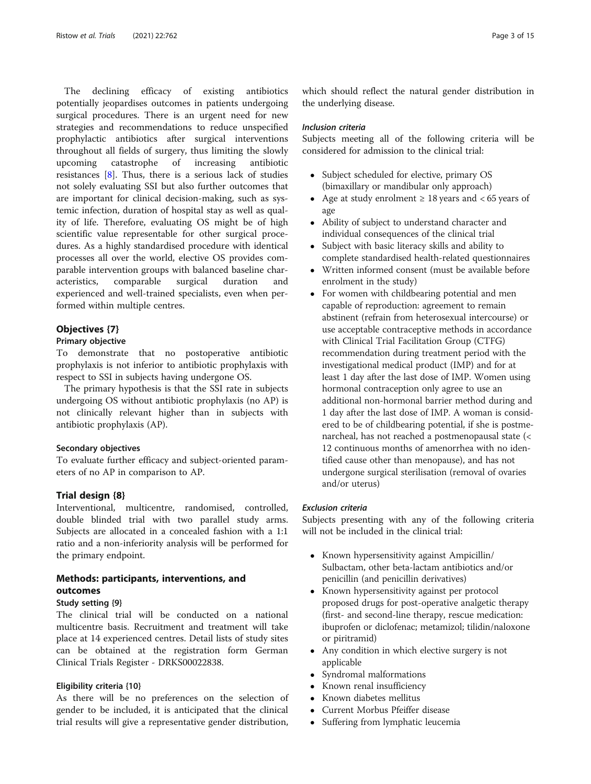The declining efficacy of existing antibiotics potentially jeopardises outcomes in patients undergoing surgical procedures. There is an urgent need for new strategies and recommendations to reduce unspecified prophylactic antibiotics after surgical interventions throughout all fields of surgery, thus limiting the slowly upcoming catastrophe of increasing antibiotic resistances [\[8](#page-14-0)]. Thus, there is a serious lack of studies not solely evaluating SSI but also further outcomes that are important for clinical decision-making, such as systemic infection, duration of hospital stay as well as quality of life. Therefore, evaluating OS might be of high scientific value representable for other surgical procedures. As a highly standardised procedure with identical processes all over the world, elective OS provides comparable intervention groups with balanced baseline characteristics, comparable surgical duration and experienced and well-trained specialists, even when performed within multiple centres.

## Objectives {7}

### Primary objective

To demonstrate that no postoperative antibiotic prophylaxis is not inferior to antibiotic prophylaxis with respect to SSI in subjects having undergone OS.

The primary hypothesis is that the SSI rate in subjects undergoing OS without antibiotic prophylaxis (no AP) is not clinically relevant higher than in subjects with antibiotic prophylaxis (AP).

## Secondary objectives

To evaluate further efficacy and subject-oriented parameters of no AP in comparison to AP.

### Trial design {8}

Interventional, multicentre, randomised, controlled, double blinded trial with two parallel study arms. Subjects are allocated in a concealed fashion with a 1:1 ratio and a non-inferiority analysis will be performed for the primary endpoint.

# Methods: participants, interventions, and outcomes

## Study setting {9}

The clinical trial will be conducted on a national multicentre basis. Recruitment and treatment will take place at 14 experienced centres. Detail lists of study sites can be obtained at the registration form German Clinical Trials Register - DRKS00022838.

### Eligibility criteria {10}

As there will be no preferences on the selection of gender to be included, it is anticipated that the clinical trial results will give a representative gender distribution,

which should reflect the natural gender distribution in the underlying disease.

#### Inclusion criteria

Subjects meeting all of the following criteria will be considered for admission to the clinical trial:

- Subject scheduled for elective, primary OS (bimaxillary or mandibular only approach)
- Age at study enrolment  $\geq 18$  years and < 65 years of age
- Ability of subject to understand character and individual consequences of the clinical trial
- Subject with basic literacy skills and ability to complete standardised health-related questionnaires
- Written informed consent (must be available before enrolment in the study)
- For women with childbearing potential and men capable of reproduction: agreement to remain abstinent (refrain from heterosexual intercourse) or use acceptable contraceptive methods in accordance with Clinical Trial Facilitation Group (CTFG) recommendation during treatment period with the investigational medical product (IMP) and for at least 1 day after the last dose of IMP. Women using hormonal contraception only agree to use an additional non-hormonal barrier method during and 1 day after the last dose of IMP. A woman is considered to be of childbearing potential, if she is postmenarcheal, has not reached a postmenopausal state (< 12 continuous months of amenorrhea with no identified cause other than menopause), and has not undergone surgical sterilisation (removal of ovaries and/or uterus)

## Exclusion criteria

Subjects presenting with any of the following criteria will not be included in the clinical trial:

- Known hypersensitivity against Ampicillin/ Sulbactam, other beta-lactam antibiotics and/or penicillin (and penicillin derivatives)
- Known hypersensitivity against per protocol proposed drugs for post-operative analgetic therapy (first- and second-line therapy, rescue medication: ibuprofen or diclofenac; metamizol; tilidin/naloxone or piritramid)
- Any condition in which elective surgery is not applicable
- Syndromal malformations
- Known renal insufficiency
- Known diabetes mellitus
- Current Morbus Pfeiffer disease
- Suffering from lymphatic leucemia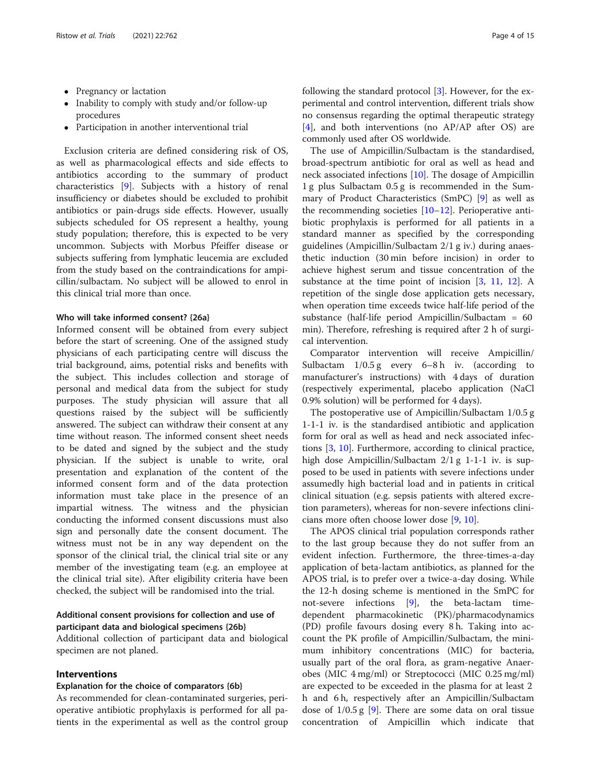- Pregnancy or lactation
- Inability to comply with study and/or follow-up procedures
- Participation in another interventional trial

Exclusion criteria are defined considering risk of OS, as well as pharmacological effects and side effects to antibiotics according to the summary of product characteristics [\[9\]](#page-14-0). Subjects with a history of renal insufficiency or diabetes should be excluded to prohibit antibiotics or pain-drugs side effects. However, usually subjects scheduled for OS represent a healthy, young study population; therefore, this is expected to be very uncommon. Subjects with Morbus Pfeiffer disease or subjects suffering from lymphatic leucemia are excluded from the study based on the contraindications for ampicillin/sulbactam. No subject will be allowed to enrol in this clinical trial more than once.

## Who will take informed consent? {26a}

Informed consent will be obtained from every subject before the start of screening. One of the assigned study physicians of each participating centre will discuss the trial background, aims, potential risks and benefits with the subject. This includes collection and storage of personal and medical data from the subject for study purposes. The study physician will assure that all questions raised by the subject will be sufficiently answered. The subject can withdraw their consent at any time without reason. The informed consent sheet needs to be dated and signed by the subject and the study physician. If the subject is unable to write, oral presentation and explanation of the content of the informed consent form and of the data protection information must take place in the presence of an impartial witness. The witness and the physician conducting the informed consent discussions must also sign and personally date the consent document. The witness must not be in any way dependent on the sponsor of the clinical trial, the clinical trial site or any member of the investigating team (e.g. an employee at the clinical trial site). After eligibility criteria have been checked, the subject will be randomised into the trial.

## Additional consent provisions for collection and use of participant data and biological specimens {26b}

Additional collection of participant data and biological specimen are not planed.

## Interventions

#### Explanation for the choice of comparators {6b}

As recommended for clean-contaminated surgeries, perioperative antibiotic prophylaxis is performed for all patients in the experimental as well as the control group

following the standard protocol [\[3](#page-14-0)]. However, for the experimental and control intervention, different trials show no consensus regarding the optimal therapeutic strategy [[4\]](#page-14-0), and both interventions (no AP/AP after OS) are commonly used after OS worldwide.

The use of Ampicillin/Sulbactam is the standardised, broad-spectrum antibiotic for oral as well as head and neck associated infections [[10\]](#page-14-0). The dosage of Ampicillin 1 g plus Sulbactam 0.5 g is recommended in the Summary of Product Characteristics (SmPC) [[9\]](#page-14-0) as well as the recommending societies [[10](#page-14-0)–[12](#page-14-0)]. Perioperative antibiotic prophylaxis is performed for all patients in a standard manner as specified by the corresponding guidelines (Ampicillin/Sulbactam 2/1 g iv.) during anaesthetic induction (30 min before incision) in order to achieve highest serum and tissue concentration of the substance at the time point of incision  $[3, 11, 12]$  $[3, 11, 12]$  $[3, 11, 12]$  $[3, 11, 12]$  $[3, 11, 12]$  $[3, 11, 12]$  $[3, 11, 12]$ . A repetition of the single dose application gets necessary, when operation time exceeds twice half-life period of the substance (half-life period Ampicillin/Sulbactam = 60 min). Therefore, refreshing is required after 2 h of surgical intervention.

Comparator intervention will receive Ampicillin/ Sulbactam  $1/0.5 g$  every 6–8 h iv. (according to manufacturer's instructions) with 4 days of duration (respectively experimental, placebo application (NaCl 0.9% solution) will be performed for 4 days).

The postoperative use of Ampicillin/Sulbactam 1/0.5 g 1-1-1 iv. is the standardised antibiotic and application form for oral as well as head and neck associated infections [\[3](#page-14-0), [10](#page-14-0)]. Furthermore, according to clinical practice, high dose Ampicillin/Sulbactam 2/1 g 1-1-1 iv. is supposed to be used in patients with severe infections under assumedly high bacterial load and in patients in critical clinical situation (e.g. sepsis patients with altered excretion parameters), whereas for non-severe infections clinicians more often choose lower dose [[9,](#page-14-0) [10](#page-14-0)].

The APOS clinical trial population corresponds rather to the last group because they do not suffer from an evident infection. Furthermore, the three-times-a-day application of beta-lactam antibiotics, as planned for the APOS trial, is to prefer over a twice-a-day dosing. While the 12-h dosing scheme is mentioned in the SmPC for not-severe infections [\[9](#page-14-0)], the beta-lactam timedependent pharmacokinetic (PK)/pharmacodynamics (PD) profile favours dosing every 8 h. Taking into account the PK profile of Ampicillin/Sulbactam, the minimum inhibitory concentrations (MIC) for bacteria, usually part of the oral flora, as gram-negative Anaerobes (MIC 4 mg/ml) or Streptococci (MIC 0.25 mg/ml) are expected to be exceeded in the plasma for at least 2 h and 6 h, respectively after an Ampicillin/Sulbactam dose of  $1/0.5$  g [\[9\]](#page-14-0). There are some data on oral tissue concentration of Ampicillin which indicate that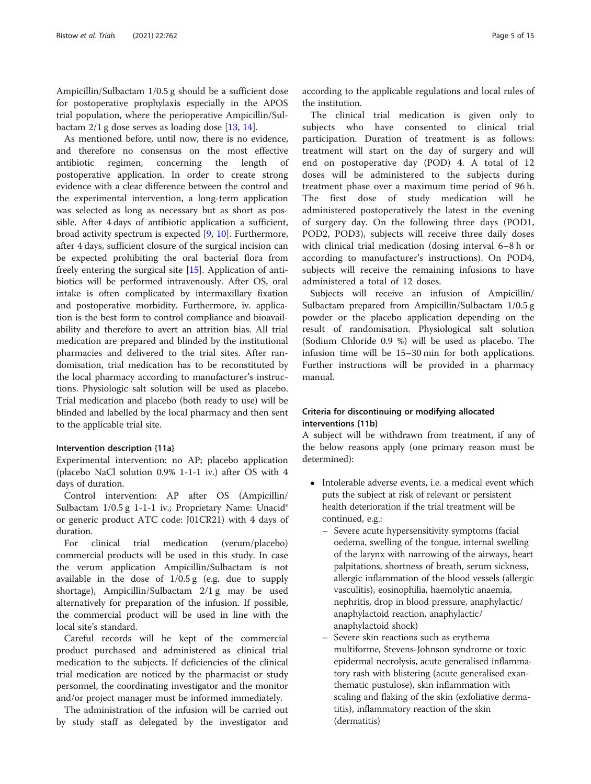Ampicillin/Sulbactam 1/0.5 g should be a sufficient dose for postoperative prophylaxis especially in the APOS trial population, where the perioperative Ampicillin/Sulbactam 2/1 g dose serves as loading dose [[13,](#page-14-0) [14\]](#page-14-0).

As mentioned before, until now, there is no evidence, and therefore no consensus on the most effective antibiotic regimen, concerning the length of postoperative application. In order to create strong evidence with a clear difference between the control and the experimental intervention, a long-term application was selected as long as necessary but as short as possible. After 4 days of antibiotic application a sufficient, broad activity spectrum is expected [\[9,](#page-14-0) [10](#page-14-0)]. Furthermore, after 4 days, sufficient closure of the surgical incision can be expected prohibiting the oral bacterial flora from freely entering the surgical site [[15\]](#page-14-0). Application of antibiotics will be performed intravenously. After OS, oral intake is often complicated by intermaxillary fixation and postoperative morbidity. Furthermore, iv. application is the best form to control compliance and bioavailability and therefore to avert an attrition bias. All trial medication are prepared and blinded by the institutional pharmacies and delivered to the trial sites. After randomisation, trial medication has to be reconstituted by the local pharmacy according to manufacturer's instructions. Physiologic salt solution will be used as placebo. Trial medication and placebo (both ready to use) will be blinded and labelled by the local pharmacy and then sent to the applicable trial site.

#### Intervention description {11a}

Experimental intervention: no AP; placebo application (placebo NaCl solution 0.9% 1-1-1 iv.) after OS with 4 days of duration.

Control intervention: AP after OS (Ampicillin/ Sulbactam 1/0.5 g 1-1-1 iv.; Proprietary Name: Unacid® or generic product ATC code: J01CR21) with 4 days of duration.

For clinical trial medication (verum/placebo) commercial products will be used in this study. In case the verum application Ampicillin/Sulbactam is not available in the dose of 1/0.5 g (e.g. due to supply shortage), Ampicillin/Sulbactam 2/1 g may be used alternatively for preparation of the infusion. If possible, the commercial product will be used in line with the local site's standard.

Careful records will be kept of the commercial product purchased and administered as clinical trial medication to the subjects. If deficiencies of the clinical trial medication are noticed by the pharmacist or study personnel, the coordinating investigator and the monitor and/or project manager must be informed immediately.

The administration of the infusion will be carried out by study staff as delegated by the investigator and according to the applicable regulations and local rules of the institution.

The clinical trial medication is given only to subjects who have consented to clinical trial participation. Duration of treatment is as follows: treatment will start on the day of surgery and will end on postoperative day (POD) 4. A total of 12 doses will be administered to the subjects during treatment phase over a maximum time period of 96 h. The first dose of study medication will be administered postoperatively the latest in the evening of surgery day. On the following three days (POD1, POD2, POD3), subjects will receive three daily doses with clinical trial medication (dosing interval 6–8 h or according to manufacturer's instructions). On POD4, subjects will receive the remaining infusions to have administered a total of 12 doses.

Subjects will receive an infusion of Ampicillin/ Sulbactam prepared from Ampicillin/Sulbactam 1/0.5 g powder or the placebo application depending on the result of randomisation. Physiological salt solution (Sodium Chloride 0.9 %) will be used as placebo. The infusion time will be 15–30 min for both applications. Further instructions will be provided in a pharmacy manual.

## Criteria for discontinuing or modifying allocated interventions {11b}

A subject will be withdrawn from treatment, if any of the below reasons apply (one primary reason must be determined):

- Intolerable adverse events, i.e. a medical event which puts the subject at risk of relevant or persistent health deterioration if the trial treatment will be continued, e.g.:
	- Severe acute hypersensitivity symptoms (facial oedema, swelling of the tongue, internal swelling of the larynx with narrowing of the airways, heart palpitations, shortness of breath, serum sickness, allergic inflammation of the blood vessels (allergic vasculitis), eosinophilia, haemolytic anaemia, nephritis, drop in blood pressure, anaphylactic/ anaphylactoid reaction, anaphylactic/ anaphylactoid shock)
	- Severe skin reactions such as erythema multiforme, Stevens-Johnson syndrome or toxic epidermal necrolysis, acute generalised inflammatory rash with blistering (acute generalised exanthematic pustulose), skin inflammation with scaling and flaking of the skin (exfoliative dermatitis), inflammatory reaction of the skin (dermatitis)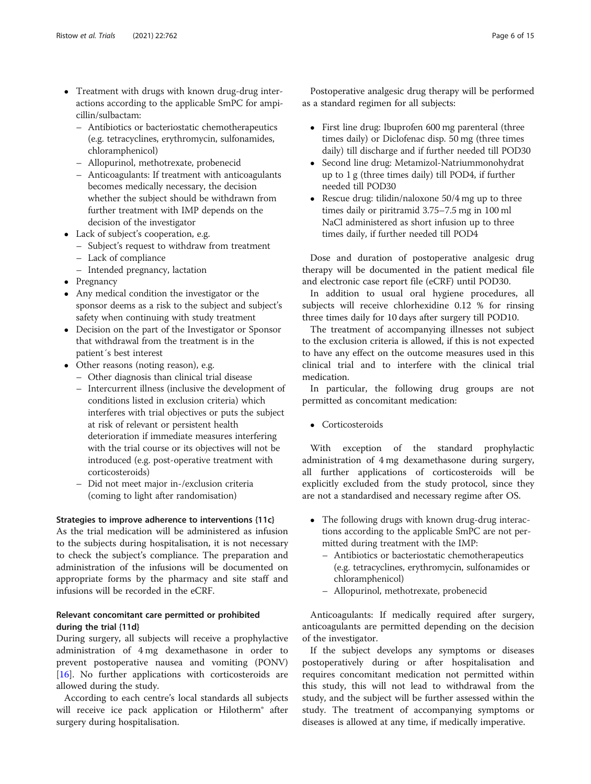- Treatment with drugs with known drug-drug interactions according to the applicable SmPC for ampicillin/sulbactam:
	- Antibiotics or bacteriostatic chemotherapeutics (e.g. tetracyclines, erythromycin, sulfonamides, chloramphenicol)
	- Allopurinol, methotrexate, probenecid
	- Anticoagulants: If treatment with anticoagulants becomes medically necessary, the decision whether the subject should be withdrawn from further treatment with IMP depends on the decision of the investigator
- Lack of subject's cooperation, e.g.
	- Subject's request to withdraw from treatment
	- Lack of compliance
	- Intended pregnancy, lactation
- Pregnancy
- Any medical condition the investigator or the sponsor deems as a risk to the subject and subject's safety when continuing with study treatment
- Decision on the part of the Investigator or Sponsor that withdrawal from the treatment is in the patient´s best interest
- Other reasons (noting reason), e.g.
	- Other diagnosis than clinical trial disease
	- Intercurrent illness (inclusive the development of conditions listed in exclusion criteria) which interferes with trial objectives or puts the subject at risk of relevant or persistent health deterioration if immediate measures interfering with the trial course or its objectives will not be introduced (e.g. post-operative treatment with corticosteroids)
	- Did not meet major in-/exclusion criteria (coming to light after randomisation)

## Strategies to improve adherence to interventions {11c}

As the trial medication will be administered as infusion to the subjects during hospitalisation, it is not necessary to check the subject's compliance. The preparation and administration of the infusions will be documented on appropriate forms by the pharmacy and site staff and infusions will be recorded in the eCRF.

## Relevant concomitant care permitted or prohibited during the trial {11d}

During surgery, all subjects will receive a prophylactive administration of 4 mg dexamethasone in order to prevent postoperative nausea and vomiting (PONV) [[16\]](#page-14-0). No further applications with corticosteroids are allowed during the study.

According to each centre's local standards all subjects will receive ice pack application or Hilotherm® after surgery during hospitalisation.

Postoperative analgesic drug therapy will be performed as a standard regimen for all subjects:

- First line drug: Ibuprofen 600 mg parenteral (three times daily) or Diclofenac disp. 50 mg (three times daily) till discharge and if further needed till POD30
- Second line drug: Metamizol-Natriummonohydrat up to 1 g (three times daily) till POD4, if further needed till POD30
- Rescue drug: tilidin/naloxone 50/4 mg up to three times daily or piritramid 3.75–7.5 mg in 100 ml NaCl administered as short infusion up to three times daily, if further needed till POD4

Dose and duration of postoperative analgesic drug therapy will be documented in the patient medical file and electronic case report file (eCRF) until POD30.

In addition to usual oral hygiene procedures, all subjects will receive chlorhexidine 0.12 % for rinsing three times daily for 10 days after surgery till POD10.

The treatment of accompanying illnesses not subject to the exclusion criteria is allowed, if this is not expected to have any effect on the outcome measures used in this clinical trial and to interfere with the clinical trial medication.

In particular, the following drug groups are not permitted as concomitant medication:

**Corticosteroids** 

With exception of the standard prophylactic administration of 4 mg dexamethasone during surgery, all further applications of corticosteroids will be explicitly excluded from the study protocol, since they are not a standardised and necessary regime after OS.

- The following drugs with known drug-drug interactions according to the applicable SmPC are not permitted during treatment with the IMP:
	- Antibiotics or bacteriostatic chemotherapeutics (e.g. tetracyclines, erythromycin, sulfonamides or chloramphenicol)
	- Allopurinol, methotrexate, probenecid

Anticoagulants: If medically required after surgery, anticoagulants are permitted depending on the decision of the investigator.

If the subject develops any symptoms or diseases postoperatively during or after hospitalisation and requires concomitant medication not permitted within this study, this will not lead to withdrawal from the study, and the subject will be further assessed within the study. The treatment of accompanying symptoms or diseases is allowed at any time, if medically imperative.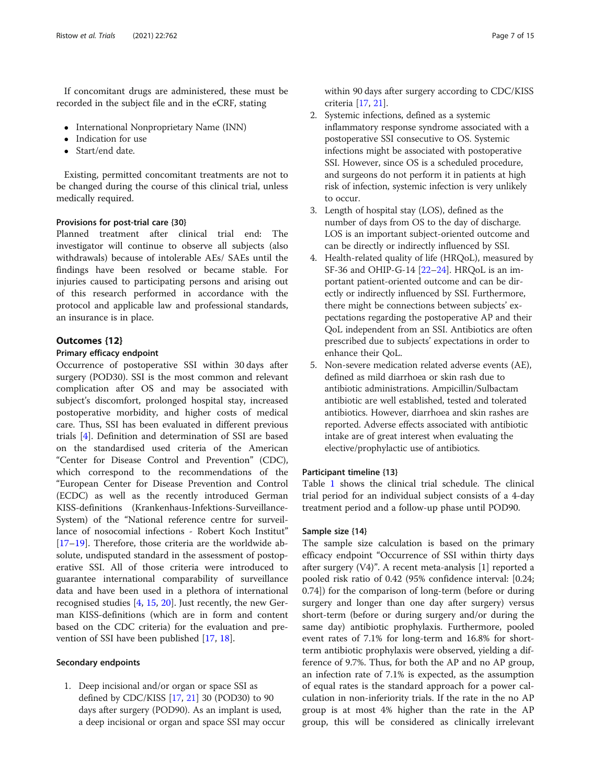If concomitant drugs are administered, these must be recorded in the subject file and in the eCRF, stating

- International Nonproprietary Name (INN)
- Indication for use
- Start/end date.

Existing, permitted concomitant treatments are not to be changed during the course of this clinical trial, unless medically required.

## Provisions for post-trial care {30}

Planned treatment after clinical trial end: The investigator will continue to observe all subjects (also withdrawals) because of intolerable AEs/ SAEs until the findings have been resolved or became stable. For injuries caused to participating persons and arising out of this research performed in accordance with the protocol and applicable law and professional standards, an insurance is in place.

## Outcomes {12}

### Primary efficacy endpoint

Occurrence of postoperative SSI within 30 days after surgery (POD30). SSI is the most common and relevant complication after OS and may be associated with subject's discomfort, prolonged hospital stay, increased postoperative morbidity, and higher costs of medical care. Thus, SSI has been evaluated in different previous trials [[4\]](#page-14-0). Definition and determination of SSI are based on the standardised used criteria of the American "Center for Disease Control and Prevention" (CDC), which correspond to the recommendations of the "European Center for Disease Prevention and Control (ECDC) as well as the recently introduced German KISS-definitions (Krankenhaus-Infektions-Surveillance-System) of the "National reference centre for surveillance of nosocomial infections - Robert Koch Institut" [[17](#page-14-0)–[19](#page-14-0)]. Therefore, those criteria are the worldwide absolute, undisputed standard in the assessment of postoperative SSI. All of those criteria were introduced to guarantee international comparability of surveillance data and have been used in a plethora of international recognised studies  $[4, 15, 20]$  $[4, 15, 20]$  $[4, 15, 20]$  $[4, 15, 20]$  $[4, 15, 20]$  $[4, 15, 20]$  $[4, 15, 20]$ . Just recently, the new German KISS-definitions (which are in form and content based on the CDC criteria) for the evaluation and prevention of SSI have been published [[17,](#page-14-0) [18](#page-14-0)].

### Secondary endpoints

1. Deep incisional and/or organ or space SSI as defined by CDC/KISS [\[17,](#page-14-0) [21\]](#page-14-0) 30 (POD30) to 90 days after surgery (POD90). As an implant is used, a deep incisional or organ and space SSI may occur within 90 days after surgery according to CDC/KISS criteria [[17](#page-14-0), [21](#page-14-0)].

- 2. Systemic infections, defined as a systemic inflammatory response syndrome associated with a postoperative SSI consecutive to OS. Systemic infections might be associated with postoperative SSI. However, since OS is a scheduled procedure, and surgeons do not perform it in patients at high risk of infection, systemic infection is very unlikely to occur.
- 3. Length of hospital stay (LOS), defined as the number of days from OS to the day of discharge. LOS is an important subject-oriented outcome and can be directly or indirectly influenced by SSI.
- 4. Health-related quality of life (HRQoL), measured by SF-36 and OHIP-G-14 [[22](#page-14-0)–[24\]](#page-14-0). HRQoL is an important patient-oriented outcome and can be directly or indirectly influenced by SSI. Furthermore, there might be connections between subjects' expectations regarding the postoperative AP and their QoL independent from an SSI. Antibiotics are often prescribed due to subjects' expectations in order to enhance their QoL.
- 5. Non-severe medication related adverse events (AE), defined as mild diarrhoea or skin rash due to antibiotic administrations. Ampicillin/Sulbactam antibiotic are well established, tested and tolerated antibiotics. However, diarrhoea and skin rashes are reported. Adverse effects associated with antibiotic intake are of great interest when evaluating the elective/prophylactic use of antibiotics.

### Participant timeline {13}

Table [1](#page-7-0) shows the clinical trial schedule. The clinical trial period for an individual subject consists of a 4-day treatment period and a follow-up phase until POD90.

### Sample size {14}

The sample size calculation is based on the primary efficacy endpoint "Occurrence of SSI within thirty days after surgery (V4)". A recent meta-analysis [1] reported a pooled risk ratio of 0.42 (95% confidence interval: [0.24; 0.74]) for the comparison of long-term (before or during surgery and longer than one day after surgery) versus short-term (before or during surgery and/or during the same day) antibiotic prophylaxis. Furthermore, pooled event rates of 7.1% for long-term and 16.8% for shortterm antibiotic prophylaxis were observed, yielding a difference of 9.7%. Thus, for both the AP and no AP group, an infection rate of 7.1% is expected, as the assumption of equal rates is the standard approach for a power calculation in non-inferiority trials. If the rate in the no AP group is at most 4% higher than the rate in the AP group, this will be considered as clinically irrelevant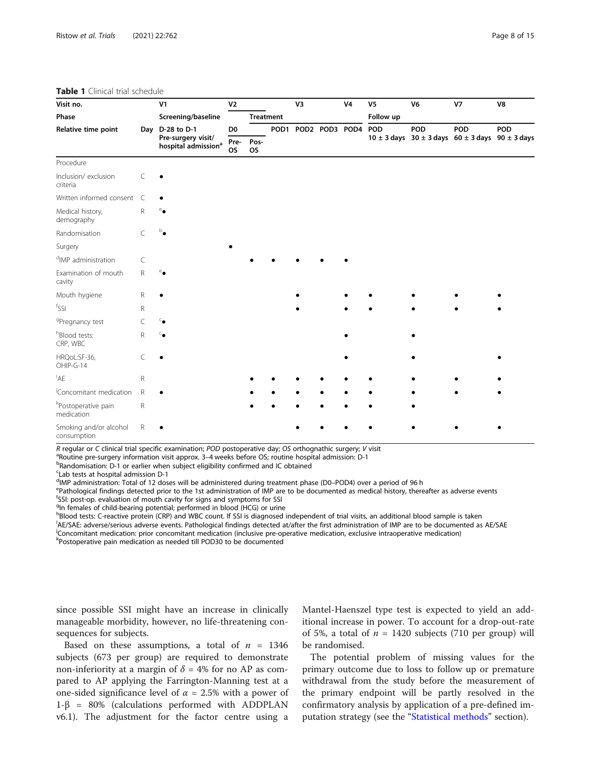#### <span id="page-7-0"></span>Table 1 Clinical trial schedule

| Visit no.                                     |              | V <sub>1</sub><br>Screening/baseline                  | V <sub>2</sub>    |                   | V3                  |  | <b>V4</b> | V <sub>5</sub> | V <sub>6</sub> | V <sub>7</sub>                                                  | V8  |
|-----------------------------------------------|--------------|-------------------------------------------------------|-------------------|-------------------|---------------------|--|-----------|----------------|----------------|-----------------------------------------------------------------|-----|
| Phase                                         |              |                                                       |                   | <b>Treatment</b>  |                     |  |           | Follow up      |                |                                                                 |     |
| Relative time point                           |              | Day D-28 to D-1                                       | D <sub>0</sub>    |                   | POD1 POD2 POD3 POD4 |  |           | POD            | POD            | POD                                                             | POD |
|                                               |              | Pre-surgery visit/<br>hospital admission <sup>a</sup> | Pre-<br><b>OS</b> | Pos-<br><b>OS</b> |                     |  |           |                |                | $10 \pm 3$ days $30 \pm 3$ days $60 \pm 3$ days $90 \pm 3$ days |     |
| Procedure                                     |              |                                                       |                   |                   |                     |  |           |                |                |                                                                 |     |
| Inclusion/exclusion<br>criteria               | C            |                                                       |                   |                   |                     |  |           |                |                |                                                                 |     |
| Written informed consent                      | C            |                                                       |                   |                   |                     |  |           |                |                |                                                                 |     |
| Medical history,<br>demography                | R            |                                                       |                   |                   |                     |  |           |                |                |                                                                 |     |
| Randomisation                                 | C            |                                                       |                   |                   |                     |  |           |                |                |                                                                 |     |
| Surgery                                       |              |                                                       |                   |                   |                     |  |           |                |                |                                                                 |     |
| <sup>d</sup> IMP administration               | C            |                                                       |                   |                   |                     |  |           |                |                |                                                                 |     |
| Examination of mouth<br>cavity                | $\mathsf R$  |                                                       |                   |                   |                     |  |           |                |                |                                                                 |     |
| Mouth hygiene                                 | R            |                                                       |                   |                   |                     |  |           |                |                |                                                                 |     |
| $^f$ SSI                                      | R            |                                                       |                   |                   |                     |  |           |                |                |                                                                 |     |
| <sup>g</sup> Pregnancy test                   | C            |                                                       |                   |                   |                     |  |           |                |                |                                                                 |     |
| hBlood tests:<br>CRP, WBC                     | $\mathsf{R}$ |                                                       |                   |                   |                     |  |           |                |                |                                                                 |     |
| HRQoL:SF-36,<br>OHIP-G-14                     | C            |                                                       |                   |                   |                     |  |           |                |                |                                                                 |     |
| <sup>i</sup> AE                               | $\mathsf{R}$ |                                                       |                   |                   |                     |  |           |                |                |                                                                 |     |
| Concomitant medication                        | $\mathsf{R}$ |                                                       |                   |                   |                     |  |           |                |                |                                                                 |     |
| <sup>k</sup> Postoperative pain<br>medication | $\mathsf{R}$ |                                                       |                   |                   |                     |  |           |                |                |                                                                 |     |
| Smoking and/or alcohol<br>consumption         | $\mathsf R$  |                                                       |                   |                   |                     |  |           |                |                |                                                                 |     |

R regular or C clinical trial specific examination; POD postoperative day; OS orthognathic surgery; V visit

 $R$ <sup>a</sup>Routine pre-surgery information visit approx. 3–4 weeks before OS; routine hospital admission: D-1

<sup>b</sup>Randomisation: D-1 or earlier when subject eligibility confirmed and IC obtained

<sup>c</sup>Lab tests at hospital admission D-1

<sup>d</sup>IMP administration: Total of 12 doses will be administered during treatment phase (D0–POD4) over a period of 96 h<br><sup>e</sup>Pathological findings detected prior to the 1st administration of IMP are to be decumented as medical

Pathological findings detected prior to the 1st administration of IMP are to be documented as medical history, thereafter as adverse events f SSI: post-op. evaluation of mouth cavity for signs and symptoms for SSI

<sup>g</sup>In females of child-bearing potential; performed in blood (HCG) or urine

h<br>Blood tests: C-reactive protein (CRP) and WBC count. If SSI is diagnosed independent of trial visits, an additional blood sample is taken

i AE/SAE: adverse/serious adverse events. Pathological findings detected at/after the first administration of IMP are to be documented as AE/SAE j Concomitant medication: prior concomitant medication (inclusive pre-operative medication, exclusive intraoperative medication)

k Postoperative pain medication as needed till POD30 to be documented

since possible SSI might have an increase in clinically manageable morbidity, however, no life-threatening consequences for subjects.

Based on these assumptions, a total of  $n = 1346$ subjects (673 per group) are required to demonstrate non-inferiority at a margin of  $\delta = 4\%$  for no AP as compared to AP applying the Farrington-Manning test at a one-sided significance level of  $\alpha = 2.5\%$  with a power of 1-β = 80% (calculations performed with ADDPLAN v6.1). The adjustment for the factor centre using a Mantel-Haenszel type test is expected to yield an additional increase in power. To account for a drop-out-rate of 5%, a total of  $n = 1420$  subjects (710 per group) will be randomised.

The potential problem of missing values for the primary outcome due to loss to follow up or premature withdrawal from the study before the measurement of the primary endpoint will be partly resolved in the confirmatory analysis by application of a pre-defined im-putation strategy (see the "[Statistical methods](#page-10-0)" section).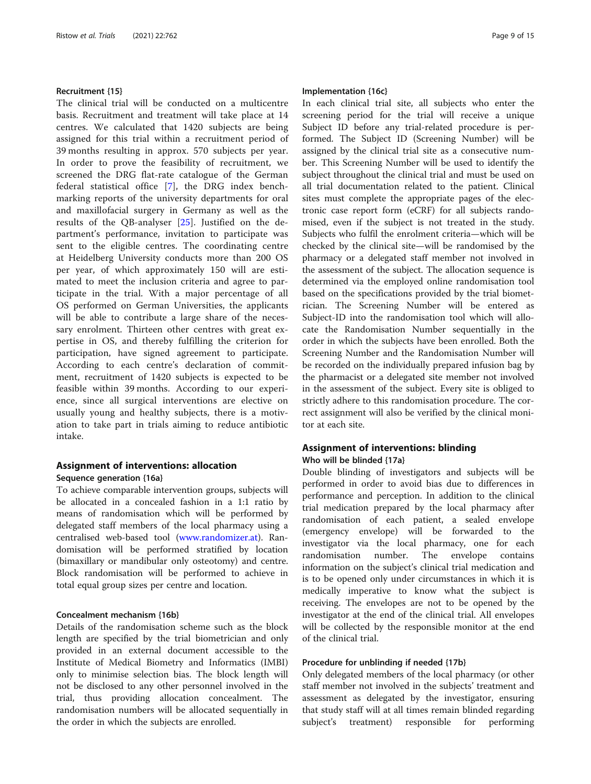### Recruitment {15}

The clinical trial will be conducted on a multicentre basis. Recruitment and treatment will take place at 14 centres. We calculated that 1420 subjects are being assigned for this trial within a recruitment period of 39 months resulting in approx. 570 subjects per year. In order to prove the feasibility of recruitment, we screened the DRG flat-rate catalogue of the German federal statistical office [[7\]](#page-14-0), the DRG index benchmarking reports of the university departments for oral and maxillofacial surgery in Germany as well as the results of the QB-analyser [[25\]](#page-14-0). Justified on the department's performance, invitation to participate was sent to the eligible centres. The coordinating centre at Heidelberg University conducts more than 200 OS per year, of which approximately 150 will are estimated to meet the inclusion criteria and agree to participate in the trial. With a major percentage of all OS performed on German Universities, the applicants will be able to contribute a large share of the necessary enrolment. Thirteen other centres with great expertise in OS, and thereby fulfilling the criterion for participation, have signed agreement to participate. According to each centre's declaration of commitment, recruitment of 1420 subjects is expected to be feasible within 39 months. According to our experience, since all surgical interventions are elective on usually young and healthy subjects, there is a motivation to take part in trials aiming to reduce antibiotic intake.

## Assignment of interventions: allocation Sequence generation {16a}

To achieve comparable intervention groups, subjects will be allocated in a concealed fashion in a 1:1 ratio by means of randomisation which will be performed by delegated staff members of the local pharmacy using a centralised web-based tool ([www.randomizer.at\)](http://www.randomizer.at). Randomisation will be performed stratified by location (bimaxillary or mandibular only osteotomy) and centre. Block randomisation will be performed to achieve in total equal group sizes per centre and location.

## Concealment mechanism {16b}

Details of the randomisation scheme such as the block length are specified by the trial biometrician and only provided in an external document accessible to the Institute of Medical Biometry and Informatics (IMBI) only to minimise selection bias. The block length will not be disclosed to any other personnel involved in the trial, thus providing allocation concealment. The randomisation numbers will be allocated sequentially in the order in which the subjects are enrolled.

## Implementation {16c}

In each clinical trial site, all subjects who enter the screening period for the trial will receive a unique Subject ID before any trial-related procedure is performed. The Subject ID (Screening Number) will be assigned by the clinical trial site as a consecutive number. This Screening Number will be used to identify the subject throughout the clinical trial and must be used on all trial documentation related to the patient. Clinical sites must complete the appropriate pages of the electronic case report form (eCRF) for all subjects randomised, even if the subject is not treated in the study. Subjects who fulfil the enrolment criteria—which will be checked by the clinical site—will be randomised by the pharmacy or a delegated staff member not involved in the assessment of the subject. The allocation sequence is determined via the employed online randomisation tool based on the specifications provided by the trial biometrician. The Screening Number will be entered as Subject-ID into the randomisation tool which will allocate the Randomisation Number sequentially in the order in which the subjects have been enrolled. Both the Screening Number and the Randomisation Number will be recorded on the individually prepared infusion bag by the pharmacist or a delegated site member not involved in the assessment of the subject. Every site is obliged to strictly adhere to this randomisation procedure. The correct assignment will also be verified by the clinical monitor at each site.

## Assignment of interventions: blinding Who will be blinded {17a}

Double blinding of investigators and subjects will be performed in order to avoid bias due to differences in performance and perception. In addition to the clinical trial medication prepared by the local pharmacy after randomisation of each patient, a sealed envelope (emergency envelope) will be forwarded to the investigator via the local pharmacy, one for each randomisation number. The envelope contains information on the subject's clinical trial medication and is to be opened only under circumstances in which it is medically imperative to know what the subject is receiving. The envelopes are not to be opened by the investigator at the end of the clinical trial. All envelopes will be collected by the responsible monitor at the end of the clinical trial.

### Procedure for unblinding if needed {17b}

Only delegated members of the local pharmacy (or other staff member not involved in the subjects' treatment and assessment as delegated by the investigator, ensuring that study staff will at all times remain blinded regarding subject's treatment) responsible for performing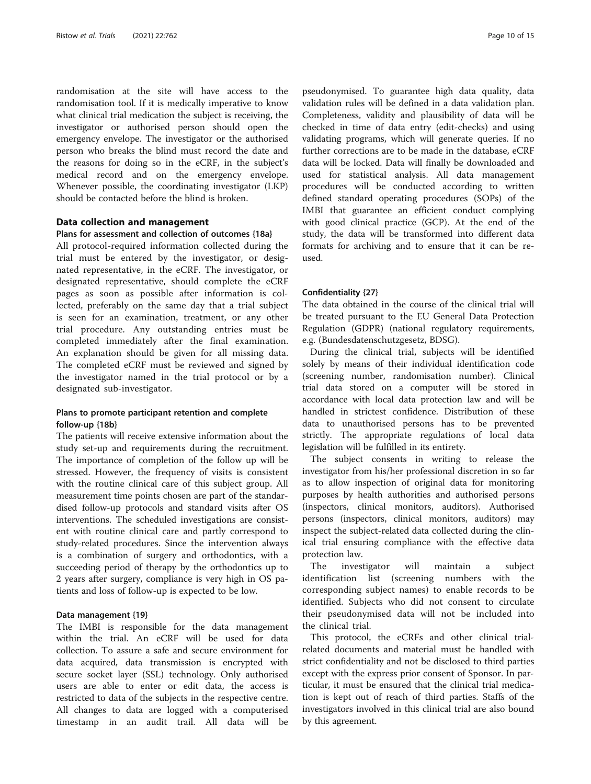randomisation at the site will have access to the randomisation tool. If it is medically imperative to know what clinical trial medication the subject is receiving, the investigator or authorised person should open the emergency envelope. The investigator or the authorised person who breaks the blind must record the date and the reasons for doing so in the eCRF, in the subject's medical record and on the emergency envelope. Whenever possible, the coordinating investigator (LKP) should be contacted before the blind is broken.

### Data collection and management

## Plans for assessment and collection of outcomes {18a}

All protocol-required information collected during the trial must be entered by the investigator, or designated representative, in the eCRF. The investigator, or designated representative, should complete the eCRF pages as soon as possible after information is collected, preferably on the same day that a trial subject is seen for an examination, treatment, or any other trial procedure. Any outstanding entries must be completed immediately after the final examination. An explanation should be given for all missing data. The completed eCRF must be reviewed and signed by the investigator named in the trial protocol or by a designated sub-investigator.

## Plans to promote participant retention and complete follow-up {18b}

The patients will receive extensive information about the study set-up and requirements during the recruitment. The importance of completion of the follow up will be stressed. However, the frequency of visits is consistent with the routine clinical care of this subject group. All measurement time points chosen are part of the standardised follow-up protocols and standard visits after OS interventions. The scheduled investigations are consistent with routine clinical care and partly correspond to study-related procedures. Since the intervention always is a combination of surgery and orthodontics, with a succeeding period of therapy by the orthodontics up to 2 years after surgery, compliance is very high in OS patients and loss of follow-up is expected to be low.

#### Data management {19}

The IMBI is responsible for the data management within the trial. An eCRF will be used for data collection. To assure a safe and secure environment for data acquired, data transmission is encrypted with secure socket layer (SSL) technology. Only authorised users are able to enter or edit data, the access is restricted to data of the subjects in the respective centre. All changes to data are logged with a computerised timestamp in an audit trail. All data will be

pseudonymised. To guarantee high data quality, data validation rules will be defined in a data validation plan. Completeness, validity and plausibility of data will be checked in time of data entry (edit-checks) and using validating programs, which will generate queries. If no further corrections are to be made in the database, eCRF data will be locked. Data will finally be downloaded and used for statistical analysis. All data management procedures will be conducted according to written defined standard operating procedures (SOPs) of the IMBI that guarantee an efficient conduct complying with good clinical practice (GCP). At the end of the study, the data will be transformed into different data formats for archiving and to ensure that it can be reused.

## Confidentiality {27}

The data obtained in the course of the clinical trial will be treated pursuant to the EU General Data Protection Regulation (GDPR) (national regulatory requirements, e.g. (Bundesdatenschutzgesetz, BDSG).

During the clinical trial, subjects will be identified solely by means of their individual identification code (screening number, randomisation number). Clinical trial data stored on a computer will be stored in accordance with local data protection law and will be handled in strictest confidence. Distribution of these data to unauthorised persons has to be prevented strictly. The appropriate regulations of local data legislation will be fulfilled in its entirety.

The subject consents in writing to release the investigator from his/her professional discretion in so far as to allow inspection of original data for monitoring purposes by health authorities and authorised persons (inspectors, clinical monitors, auditors). Authorised persons (inspectors, clinical monitors, auditors) may inspect the subject-related data collected during the clinical trial ensuring compliance with the effective data protection law.

The investigator will maintain a subject identification list (screening numbers with the corresponding subject names) to enable records to be identified. Subjects who did not consent to circulate their pseudonymised data will not be included into the clinical trial.

This protocol, the eCRFs and other clinical trialrelated documents and material must be handled with strict confidentiality and not be disclosed to third parties except with the express prior consent of Sponsor. In particular, it must be ensured that the clinical trial medication is kept out of reach of third parties. Staffs of the investigators involved in this clinical trial are also bound by this agreement.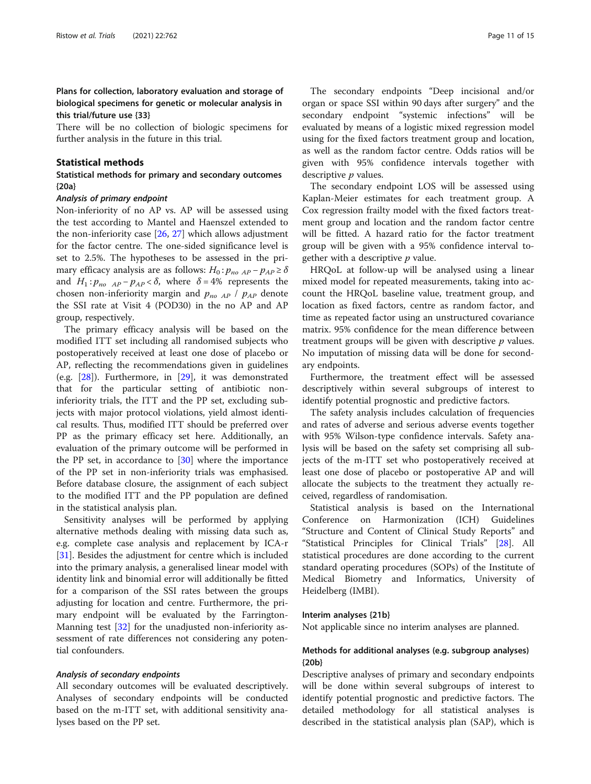## <span id="page-10-0"></span>Plans for collection, laboratory evaluation and storage of biological specimens for genetic or molecular analysis in this trial/future use {33}

There will be no collection of biologic specimens for further analysis in the future in this trial.

### Statistical methods

## Statistical methods for primary and secondary outcomes {20a}

## Analysis of primary endpoint

Non-inferiority of no AP vs. AP will be assessed using the test according to Mantel and Haenszel extended to the non-inferiority case [[26](#page-14-0), [27](#page-14-0)] which allows adjustment for the factor centre. The one-sided significance level is set to 2.5%. The hypotheses to be assessed in the primary efficacy analysis are as follows:  $H_0: p_{no\;AP} - p_{AP} \ge \delta$ and  $H_1: p_{n_0}$   $_{AP} - p_{AP} < \delta$ , where  $\delta = 4\%$  represents the chosen non-inferiority margin and  $p_{no\;AP}$  /  $p_{AP}$  denote the SSI rate at Visit 4 (POD30) in the no AP and AP group, respectively.

The primary efficacy analysis will be based on the modified ITT set including all randomised subjects who postoperatively received at least one dose of placebo or AP, reflecting the recommendations given in guidelines (e.g. [[28\]](#page-14-0)). Furthermore, in [\[29\]](#page-14-0), it was demonstrated that for the particular setting of antibiotic noninferiority trials, the ITT and the PP set, excluding subjects with major protocol violations, yield almost identical results. Thus, modified ITT should be preferred over PP as the primary efficacy set here. Additionally, an evaluation of the primary outcome will be performed in the PP set, in accordance to [\[30\]](#page-14-0) where the importance of the PP set in non-inferiority trials was emphasised. Before database closure, the assignment of each subject to the modified ITT and the PP population are defined in the statistical analysis plan.

Sensitivity analyses will be performed by applying alternative methods dealing with missing data such as, e.g. complete case analysis and replacement by ICA-r [[31\]](#page-14-0). Besides the adjustment for centre which is included into the primary analysis, a generalised linear model with identity link and binomial error will additionally be fitted for a comparison of the SSI rates between the groups adjusting for location and centre. Furthermore, the primary endpoint will be evaluated by the Farrington-Manning test [[32](#page-14-0)] for the unadjusted non-inferiority assessment of rate differences not considering any potential confounders.

#### Analysis of secondary endpoints

All secondary outcomes will be evaluated descriptively. Analyses of secondary endpoints will be conducted based on the m-ITT set, with additional sensitivity analyses based on the PP set.

The secondary endpoints "Deep incisional and/or organ or space SSI within 90 days after surgery" and the secondary endpoint "systemic infections" will be evaluated by means of a logistic mixed regression model using for the fixed factors treatment group and location, as well as the random factor centre. Odds ratios will be given with 95% confidence intervals together with descriptive *p* values.

The secondary endpoint LOS will be assessed using Kaplan-Meier estimates for each treatment group. A Cox regression frailty model with the fixed factors treatment group and location and the random factor centre will be fitted. A hazard ratio for the factor treatment group will be given with a 95% confidence interval together with a descriptive  $p$  value.

HRQoL at follow-up will be analysed using a linear mixed model for repeated measurements, taking into account the HRQoL baseline value, treatment group, and location as fixed factors, centre as random factor, and time as repeated factor using an unstructured covariance matrix. 95% confidence for the mean difference between treatment groups will be given with descriptive  $p$  values. No imputation of missing data will be done for secondary endpoints.

Furthermore, the treatment effect will be assessed descriptively within several subgroups of interest to identify potential prognostic and predictive factors.

The safety analysis includes calculation of frequencies and rates of adverse and serious adverse events together with 95% Wilson-type confidence intervals. Safety analysis will be based on the safety set comprising all subjects of the m-ITT set who postoperatively received at least one dose of placebo or postoperative AP and will allocate the subjects to the treatment they actually received, regardless of randomisation.

Statistical analysis is based on the International Conference on Harmonization (ICH) Guidelines "Structure and Content of Clinical Study Reports" and "Statistical Principles for Clinical Trials" [[28\]](#page-14-0). All statistical procedures are done according to the current standard operating procedures (SOPs) of the Institute of Medical Biometry and Informatics, University of Heidelberg (IMBI).

#### Interim analyses {21b}

Not applicable since no interim analyses are planned.

## Methods for additional analyses (e.g. subgroup analyses) {20b}

Descriptive analyses of primary and secondary endpoints will be done within several subgroups of interest to identify potential prognostic and predictive factors. The detailed methodology for all statistical analyses is described in the statistical analysis plan (SAP), which is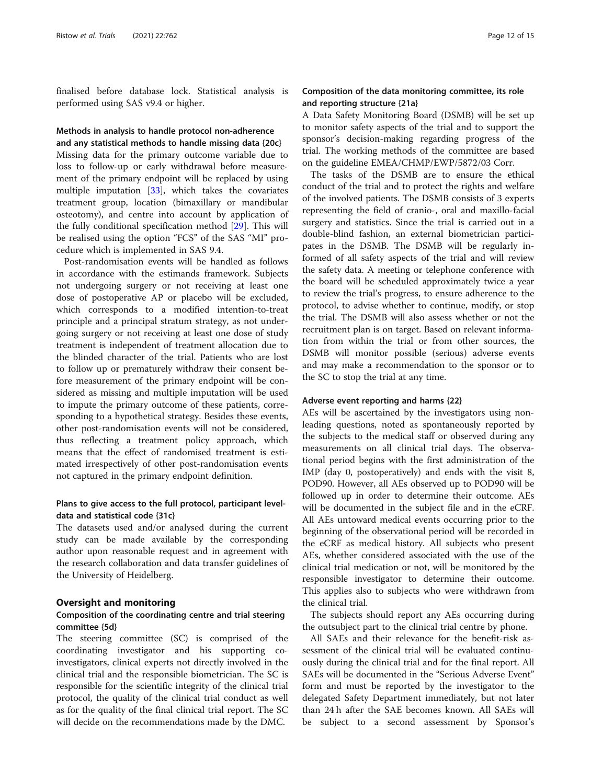finalised before database lock. Statistical analysis is performed using SAS v9.4 or higher.

# Methods in analysis to handle protocol non-adherence

and any statistical methods to handle missing data {20c} Missing data for the primary outcome variable due to loss to follow-up or early withdrawal before measurement of the primary endpoint will be replaced by using multiple imputation [[33](#page-14-0)], which takes the covariates treatment group, location (bimaxillary or mandibular osteotomy), and centre into account by application of the fully conditional specification method [[29\]](#page-14-0). This will be realised using the option "FCS" of the SAS "MI" procedure which is implemented in SAS 9.4.

Post-randomisation events will be handled as follows in accordance with the estimands framework. Subjects not undergoing surgery or not receiving at least one dose of postoperative AP or placebo will be excluded, which corresponds to a modified intention-to-treat principle and a principal stratum strategy, as not undergoing surgery or not receiving at least one dose of study treatment is independent of treatment allocation due to the blinded character of the trial. Patients who are lost to follow up or prematurely withdraw their consent before measurement of the primary endpoint will be considered as missing and multiple imputation will be used to impute the primary outcome of these patients, corresponding to a hypothetical strategy. Besides these events, other post-randomisation events will not be considered, thus reflecting a treatment policy approach, which means that the effect of randomised treatment is estimated irrespectively of other post-randomisation events not captured in the primary endpoint definition.

## Plans to give access to the full protocol, participant leveldata and statistical code {31c}

The datasets used and/or analysed during the current study can be made available by the corresponding author upon reasonable request and in agreement with the research collaboration and data transfer guidelines of the University of Heidelberg.

#### Oversight and monitoring

## Composition of the coordinating centre and trial steering committee {5d}

The steering committee (SC) is comprised of the coordinating investigator and his supporting coinvestigators, clinical experts not directly involved in the clinical trial and the responsible biometrician. The SC is responsible for the scientific integrity of the clinical trial protocol, the quality of the clinical trial conduct as well as for the quality of the final clinical trial report. The SC will decide on the recommendations made by the DMC.

## Composition of the data monitoring committee, its role and reporting structure {21a}

A Data Safety Monitoring Board (DSMB) will be set up to monitor safety aspects of the trial and to support the sponsor's decision-making regarding progress of the trial. The working methods of the committee are based on the guideline EMEA/CHMP/EWP/5872/03 Corr.

The tasks of the DSMB are to ensure the ethical conduct of the trial and to protect the rights and welfare of the involved patients. The DSMB consists of 3 experts representing the field of cranio-, oral and maxillo-facial surgery and statistics. Since the trial is carried out in a double-blind fashion, an external biometrician participates in the DSMB. The DSMB will be regularly informed of all safety aspects of the trial and will review the safety data. A meeting or telephone conference with the board will be scheduled approximately twice a year to review the trial's progress, to ensure adherence to the protocol, to advise whether to continue, modify, or stop the trial. The DSMB will also assess whether or not the recruitment plan is on target. Based on relevant information from within the trial or from other sources, the DSMB will monitor possible (serious) adverse events and may make a recommendation to the sponsor or to the SC to stop the trial at any time.

## Adverse event reporting and harms {22}

AEs will be ascertained by the investigators using nonleading questions, noted as spontaneously reported by the subjects to the medical staff or observed during any measurements on all clinical trial days. The observational period begins with the first administration of the IMP (day 0, postoperatively) and ends with the visit 8, POD90. However, all AEs observed up to POD90 will be followed up in order to determine their outcome. AEs will be documented in the subject file and in the eCRF. All AEs untoward medical events occurring prior to the beginning of the observational period will be recorded in the eCRF as medical history. All subjects who present AEs, whether considered associated with the use of the clinical trial medication or not, will be monitored by the responsible investigator to determine their outcome. This applies also to subjects who were withdrawn from the clinical trial.

The subjects should report any AEs occurring during the outsubject part to the clinical trial centre by phone.

All SAEs and their relevance for the benefit-risk assessment of the clinical trial will be evaluated continuously during the clinical trial and for the final report. All SAEs will be documented in the "Serious Adverse Event" form and must be reported by the investigator to the delegated Safety Department immediately, but not later than 24 h after the SAE becomes known. All SAEs will be subject to a second assessment by Sponsor's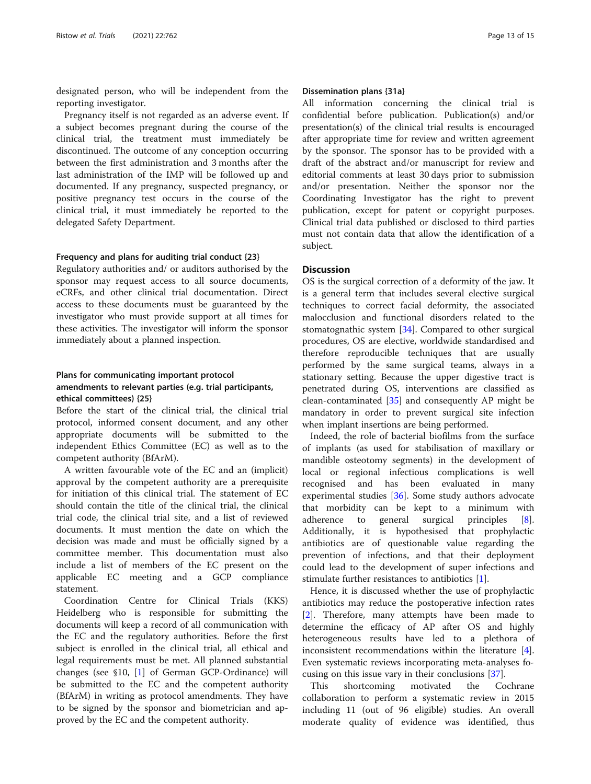designated person, who will be independent from the reporting investigator.

Pregnancy itself is not regarded as an adverse event. If a subject becomes pregnant during the course of the clinical trial, the treatment must immediately be discontinued. The outcome of any conception occurring between the first administration and 3 months after the last administration of the IMP will be followed up and documented. If any pregnancy, suspected pregnancy, or positive pregnancy test occurs in the course of the clinical trial, it must immediately be reported to the delegated Safety Department.

#### Frequency and plans for auditing trial conduct {23}

Regulatory authorities and/ or auditors authorised by the sponsor may request access to all source documents, eCRFs, and other clinical trial documentation. Direct access to these documents must be guaranteed by the investigator who must provide support at all times for these activities. The investigator will inform the sponsor immediately about a planned inspection.

## Plans for communicating important protocol amendments to relevant parties (e.g. trial participants, ethical committees) {25}

Before the start of the clinical trial, the clinical trial protocol, informed consent document, and any other appropriate documents will be submitted to the independent Ethics Committee (EC) as well as to the competent authority (BfArM).

A written favourable vote of the EC and an (implicit) approval by the competent authority are a prerequisite for initiation of this clinical trial. The statement of EC should contain the title of the clinical trial, the clinical trial code, the clinical trial site, and a list of reviewed documents. It must mention the date on which the decision was made and must be officially signed by a committee member. This documentation must also include a list of members of the EC present on the applicable EC meeting and a GCP compliance statement.

Coordination Centre for Clinical Trials (KKS) Heidelberg who is responsible for submitting the documents will keep a record of all communication with the EC and the regulatory authorities. Before the first subject is enrolled in the clinical trial, all ethical and legal requirements must be met. All planned substantial changes (see §10, [[1](#page-14-0)] of German GCP-Ordinance) will be submitted to the EC and the competent authority (BfArM) in writing as protocol amendments. They have to be signed by the sponsor and biometrician and approved by the EC and the competent authority.

### Dissemination plans {31a}

All information concerning the clinical trial is confidential before publication. Publication(s) and/or presentation(s) of the clinical trial results is encouraged after appropriate time for review and written agreement by the sponsor. The sponsor has to be provided with a draft of the abstract and/or manuscript for review and editorial comments at least 30 days prior to submission and/or presentation. Neither the sponsor nor the Coordinating Investigator has the right to prevent publication, except for patent or copyright purposes. Clinical trial data published or disclosed to third parties must not contain data that allow the identification of a subject.

### **Discussion**

OS is the surgical correction of a deformity of the jaw. It is a general term that includes several elective surgical techniques to correct facial deformity, the associated malocclusion and functional disorders related to the stomatognathic system [\[34](#page-14-0)]. Compared to other surgical procedures, OS are elective, worldwide standardised and therefore reproducible techniques that are usually performed by the same surgical teams, always in a stationary setting. Because the upper digestive tract is penetrated during OS, interventions are classified as clean-contaminated [\[35](#page-14-0)] and consequently AP might be mandatory in order to prevent surgical site infection when implant insertions are being performed.

Indeed, the role of bacterial biofilms from the surface of implants (as used for stabilisation of maxillary or mandible osteotomy segments) in the development of local or regional infectious complications is well recognised and has been evaluated in many experimental studies [\[36\]](#page-14-0). Some study authors advocate that morbidity can be kept to a minimum with adherence to general surgical principles [\[8](#page-14-0)]. Additionally, it is hypothesised that prophylactic antibiotics are of questionable value regarding the prevention of infections, and that their deployment could lead to the development of super infections and stimulate further resistances to antibiotics [[1\]](#page-14-0).

Hence, it is discussed whether the use of prophylactic antibiotics may reduce the postoperative infection rates [[2\]](#page-14-0). Therefore, many attempts have been made to determine the efficacy of AP after OS and highly heterogeneous results have led to a plethora of inconsistent recommendations within the literature  $[4]$  $[4]$ . Even systematic reviews incorporating meta-analyses focusing on this issue vary in their conclusions [[37\]](#page-14-0).

This shortcoming motivated the Cochrane collaboration to perform a systematic review in 2015 including 11 (out of 96 eligible) studies. An overall moderate quality of evidence was identified, thus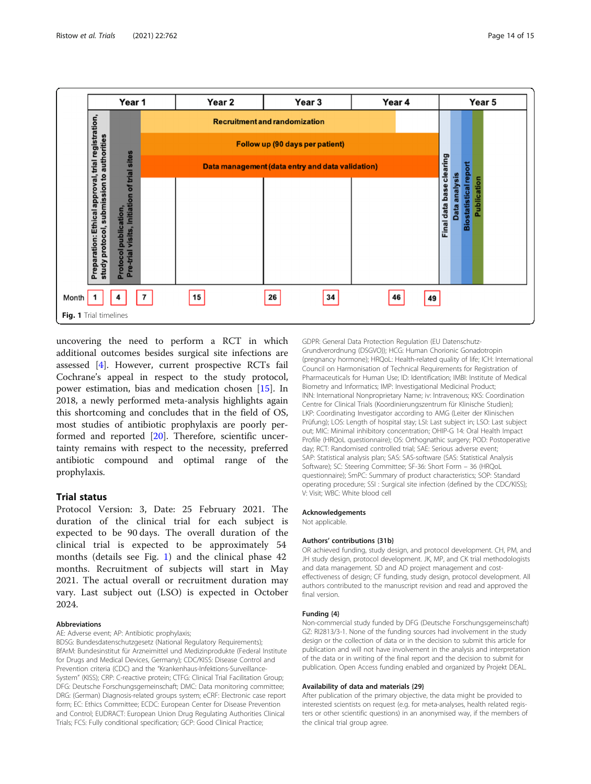

uncovering the need to perform a RCT in which additional outcomes besides surgical site infections are assessed [\[4](#page-14-0)]. However, current prospective RCTs fail Cochrane's appeal in respect to the study protocol, power estimation, bias and medication chosen [\[15\]](#page-14-0). In 2018, a newly performed meta-analysis highlights again this shortcoming and concludes that in the field of OS, most studies of antibiotic prophylaxis are poorly performed and reported [[20](#page-14-0)]. Therefore, scientific uncertainty remains with respect to the necessity, preferred antibiotic compound and optimal range of the prophylaxis.

## Trial status

Protocol Version: 3, Date: 25 February 2021. The duration of the clinical trial for each subject is expected to be 90 days. The overall duration of the clinical trial is expected to be approximately 54 months (details see Fig. 1) and the clinical phase 42 months. Recruitment of subjects will start in May 2021. The actual overall or recruitment duration may vary. Last subject out (LSO) is expected in October 2024.

#### Abbreviations

AE: Adverse event; AP: Antibiotic prophylaxis;

BDSG: Bundesdatenschutzgesetz (National Regulatory Requirements); BfArM: Bundesinstitut für Arzneimittel und Medizinprodukte (Federal Institute for Drugs and Medical Devices, Germany); CDC/KISS: Disease Control and Prevention criteria (CDC) and the "Krankenhaus-Infektions-Surveillance-System" (KISS); CRP: C-reactive protein; CTFG: Clinical Trial Facilitation Group; DFG: Deutsche Forschungsgemeinschaft; DMC: Data monitoring committee; DRG: (German) Diagnosis-related groups system; eCRF: Electronic case report form; EC: Ethics Committee; ECDC: European Center for Disease Prevention and Control; EUDRACT: European Union Drug Regulating Authorities Clinical Trials; FCS: Fully conditional specification; GCP: Good Clinical Practice;

GDPR: General Data Protection Regulation (EU Datenschutz-Grundverordnung (DSGVO)); HCG: Human Chorionic Gonadotropin (pregnancy hormone); HRQoL: Health-related quality of life; ICH: International Council on Harmonisation of Technical Requirements for Registration of Pharmaceuticals for Human Use; ID: Identification; IMBI: Institute of Medical Biometry and Informatics; IMP: Investigational Medicinal Product; INN: International Nonproprietary Name; iv: Intravenous; KKS: Coordination Centre for Clinical Trials (Koordinierungszentrum für Klinische Studien); LKP: Coordinating Investigator according to AMG (Leiter der Klinischen Prüfung); LOS: Length of hospital stay; LSI: Last subject in; LSO: Last subject out; MIC: Minimal inhibitory concentration; OHIP-G 14: Oral Health Impact Profile (HRQoL questionnaire); OS: Orthognathic surgery; POD: Postoperative day; RCT: Randomised controlled trial; SAE: Serious adverse event; SAP: Statistical analysis plan; SAS: SAS-software (SAS: Statistical Analysis Software); SC: Steering Committee; SF-36: Short Form – 36 (HRQoL questionnaire); SmPC: Summary of product characteristics; SOP: Standard operating procedure; SSI : Surgical site infection (defined by the CDC/KISS); V: Visit; WBC: White blood cell

#### Acknowledgements

Not applicable.

#### Authors' contributions {31b}

OR achieved funding, study design, and protocol development. CH, PM, and JH study design, protocol development. JK, MP, and CK trial methodologists and data management. SD and AD project management and costeffectiveness of design; CF funding, study design, protocol development. All authors contributed to the manuscript revision and read and approved the final version.

#### Funding {4}

Non-commercial study funded by DFG (Deutsche Forschungsgemeinschaft) GZ: RI2813/3-1. None of the funding sources had involvement in the study design or the collection of data or in the decision to submit this article for publication and will not have involvement in the analysis and interpretation of the data or in writing of the final report and the decision to submit for publication. Open Access funding enabled and organized by Projekt DEAL.

#### Availability of data and materials {29}

After publication of the primary objective, the data might be provided to interested scientists on request (e.g. for meta-analyses, health related registers or other scientific questions) in an anonymised way, if the members of the clinical trial group agree.